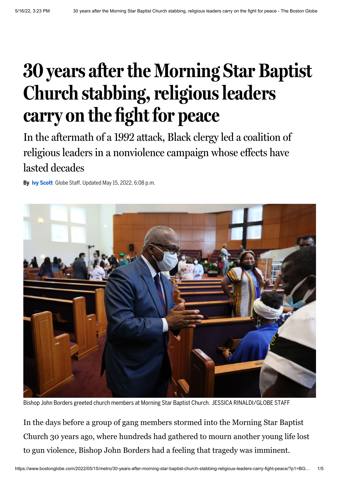## **30 years afterthe Morning Star Baptist Church** stabbing, religious leaders **carry on the fight for peace**

In the aftermath of a 1992 attack, Black clergy led a coalition of religious leaders in a nonviolence campaign whose effects have lasted decades

**By Ivy [Scott](https://www.bostonglobe.com/about/staff-list/staff/ivy-scott/?p1=Article_Byline)** Globe Staff, Updated May 15, 2022, 6:08 p.m.



Bishop John Borders greeted church members at Morning Star Baptist Church. JESSICA RINALDI/GLOBE STAFF

In the days before a group of gang members stormed into the Morning Star Baptist Church 30 years ago, where hundreds had gathered to mourn another young life lost to gun violence, Bishop John Borders had a feeling that tragedy was imminent.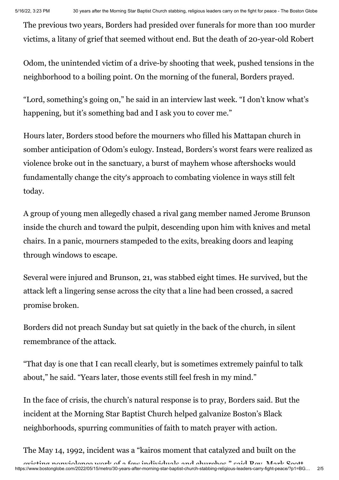The previous two years, Borders had presided over funerals for more than 100 murder victims, a litany of grief that seemed without end. But the death of 20-year-old Robert

Odom, the unintended victim of a drive-by shooting that week, pushed tensions in the neighborhood to a boiling point. On the morning of the funeral, Borders prayed.

"Lord, something's going on," he said in an interview last week. "I don't know what's happening, but it's something bad and I ask you to cover me."

Hours later, Borders stood before the mourners who filled his Mattapan church in somber anticipation of Odom's eulogy. Instead, Borders's worst fears were realized as violence broke out in the sanctuary, a burst of mayhem whose aftershocks would fundamentally change the city's approach to combating violence in ways still felt today.

A group of young men allegedly chased a rival gang member named Jerome Brunson inside the church and toward the pulpit, descending upon him with knives and metal chairs. In a panic, mourners stampeded to the exits, breaking doors and leaping through windows to escape.

Several were injured and Brunson, 21, was stabbed eight times. He survived, but the attack left a lingering sense across the city that a line had been crossed, a sacred promise broken.

Borders did not preach Sunday but sat quietly in the back of the church, in silent remembrance of the attack.

"That day is one that I can recall clearly, but is sometimes extremely painful to talk about," he said. "Years later, those events still feel fresh in my mind."

In the face of crisis, the church's natural response is to pray, Borders said. But the incident at the Morning Star Baptist Church helped galvanize Boston's Black neighborhoods, spurring communities of faith to match prayer with action.

The May 14, 1992, incident was a "kairos moment that catalyzed and built on the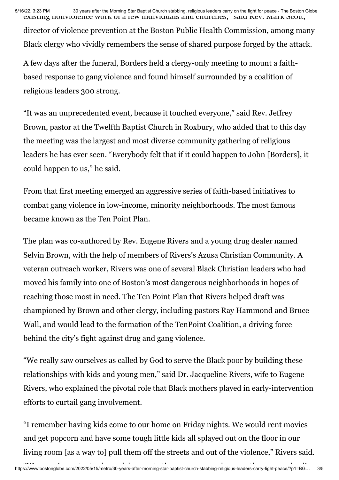5/16/22, 3:23 PM 30 years after the Morning Star Baptist Church stabbing, religious leaders carry on the fight for peace - The Boston Globe existing nonviolence work of a few individuals and churches, said Rev. Mark Scott,

director of violence prevention at the Boston Public Health Commission, among many Black clergy who vividly remembers the sense of shared purpose forged by the attack.

A few days after the funeral, Borders held a clergy-only meeting to mount a faithbased response to gang violence and found himself surrounded by a coalition of religious leaders 300 strong.

"It was an unprecedented event, because it touched everyone," said Rev. Jeffrey Brown, pastor at the Twelfth Baptist Church in Roxbury, who added that to this day the meeting was the largest and most diverse community gathering of religious leaders he has ever seen. "Everybody felt that if it could happen to John [Borders], it could happen to us," he said.

From that first meeting emerged an aggressive series of faith-based initiatives to combat gang violence in low-income, minority neighborhoods. The most famous became known as the Ten Point Plan.

The plan was co-authored by Rev. Eugene Rivers and a young drug dealer named Selvin Brown, with the help of members of Rivers's Azusa Christian Community. A veteran outreach worker, Rivers was one of several Black Christian leaders who had moved his family into one of Boston's most dangerous neighborhoods in hopes of reaching those most in need. The Ten Point Plan that Rivers helped draft was championed by Brown and other clergy, including pastors Ray Hammond and Bruce Wall, and would lead to the formation of the TenPoint Coalition, a driving force behind the city's fight against drug and gang violence.

"We really saw ourselves as called by God to serve the Black poor by building these relationships with kids and young men," said Dr. Jacqueline Rivers, wife to Eugene Rivers, who explained the pivotal role that Black mothers played in early-intervention efforts to curtail gang involvement.

"I remember having kids come to our home on Friday nights. We would rent movies and get popcorn and have some tough little kids all splayed out on the floor in our living room [as a way to] pull them off the streets and out of the violence," Rivers said.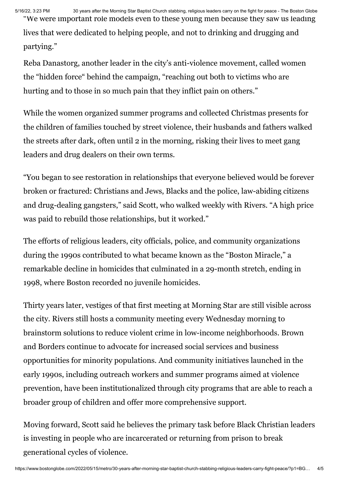5/16/22, 3:23 PM 30 years after the Morning Star Baptist Church stabbing, religious leaders carry on the fight for peace - The Boston Globe "We were important role models even to these young men because they saw us leading

lives that were dedicated to helping people, and not to drinking and drugging and partying."

Reba Danastorg, another leader in the city's anti-violence movement, called women the "hidden force" behind the campaign, "reaching out both to victims who are hurting and to those in so much pain that they inflict pain on others."

While the women organized summer programs and collected Christmas presents for the children of families touched by street violence, their husbands and fathers walked the streets after dark, often until 2 in the morning, risking their lives to meet gang leaders and drug dealers on their own terms.

"You began to see restoration in relationships that everyone believed would be forever broken or fractured: Christians and Jews, Blacks and the police, law-abiding citizens and drug-dealing gangsters," said Scott, who walked weekly with Rivers. "A high price was paid to rebuild those relationships, but it worked."

The efforts of religious leaders, city officials, police, and community organizations during the 1990s contributed to what became known as the "Boston Miracle," a remarkable decline in homicides that culminated in a 29-month stretch, ending in 1998, where Boston recorded no juvenile homicides.

Thirty years later, vestiges of that first meeting at Morning Star are still visible across the city. Rivers still hosts a community meeting every Wednesday morning to brainstorm solutions to reduce violent crime in low-income neighborhoods. Brown and Borders continue to advocate for increased social services and business opportunities for minority populations. And community initiatives launched in the early 1990s, including outreach workers and summer programs aimed at violence prevention, have been institutionalized through city programs that are able to reach a broader group of children and offer more comprehensive support.

Moving forward, Scott said he believes the primary task before Black Christian leaders is investing in people who are incarcerated or returning from prison to break generational cycles of violence.